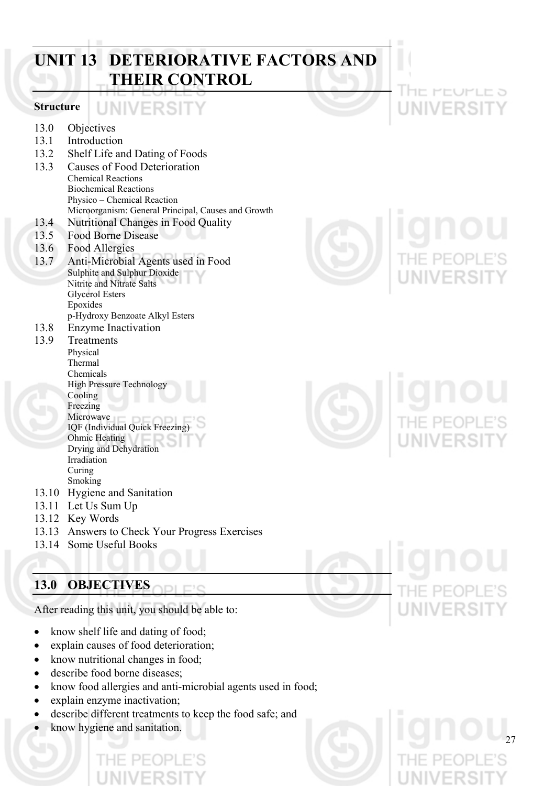## **UNIT 13 DETERIORATIVE FACTORS AND THEIR CONTROL**

#### **Structure**

- 13.0 Objectives
- 13.1 Introduction
- 13.2 Shelf Life and Dating of Foods
- 13.3 Causes of Food Deterioration Chemical Reactions Biochemical Reactions Physico – Chemical Reaction Microorganism: General Principal, Causes and Growth 13.4 Nutritional Changes in Food Quality

UNIVERSIT

- 13.5 Food Borne Disease
- 13.6 Food Allergies
- 13.7 Anti-Microbial Agents used in Food Sulphite and Sulphur Dioxide Nitrite and Nitrate Salts Glycerol Esters Epoxides p-Hydroxy Benzoate Alkyl Esters
- 13.8 Enzyme Inactivation

#### 13.9 Treatments Physical Thermal Chemicals High Pressure Technology Cooling Freezing

- Microwave IQF (Individual Quick Freezing) Ohmic Heating Drying and Dehydration Irradiation Curing Smoking
- 13.10 Hygiene and Sanitation
- 13.11 Let Us Sum Up
- 13.12 Key Words
- 13.13 Answers to Check Your Progress Exercises
- 13.14 Some Useful Books

## **13.0 OBJECTIVES**

After reading this unit, you should be able to:

- know shelf life and dating of food;
- explain causes of food deterioration;
- know nutritional changes in food;
- describe food borne diseases;
- know food allergies and anti-microbial agents used in food;
- explain enzyme inactivation;
- describe different treatments to keep the food safe; and
- know hygiene and sanitation.

HE PEUPLE 5 NIVERSIT

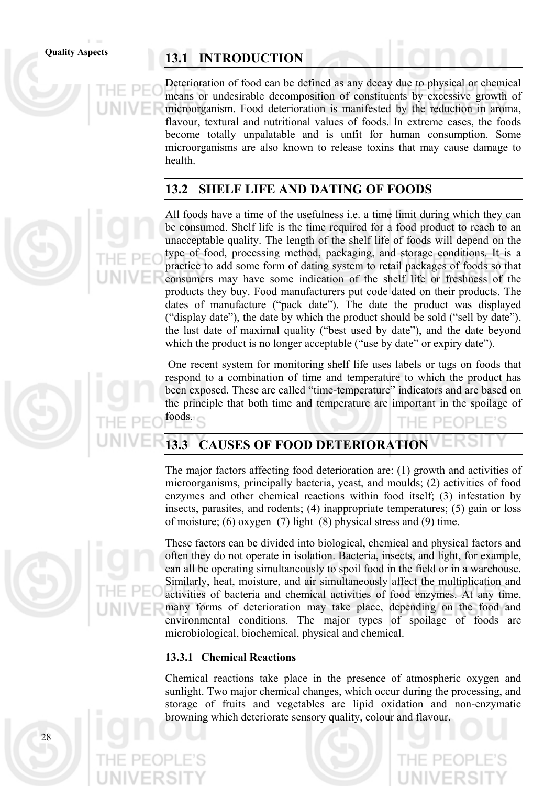## Quality Aspects **13.1 INTRODUCTION**

Deterioration of food can be defined as any decay due to physical or chemical means or undesirable decomposition of constituents by excessive growth of microorganism. Food deterioration is manifested by the reduction in aroma, flavour, textural and nutritional values of foods. In extreme cases, the foods become totally unpalatable and is unfit for human consumption. Some microorganisms are also known to release toxins that may cause damage to health.

#### **13.2 SHELF LIFE AND DATING OF FOODS**

All foods have a time of the usefulness i.e. a time limit during which they can be consumed. Shelf life is the time required for a food product to reach to an unacceptable quality. The length of the shelf life of foods will depend on the type of food, processing method, packaging, and storage conditions. It is a practice to add some form of dating system to retail packages of foods so that consumers may have some indication of the shelf life or freshness of the products they buy. Food manufacturers put code dated on their products. The dates of manufacture ("pack date"). The date the product was displayed ("display date"), the date by which the product should be sold ("sell by date"), the last date of maximal quality ("best used by date"), and the date beyond which the product is no longer acceptable ("use by date" or expiry date").

 One recent system for monitoring shelf life uses labels or tags on foods that respond to a combination of time and temperature to which the product has been exposed. These are called "time-temperature" indicators and are based on the principle that both time and temperature are important in the spoilage of

## **13.3 CAUSES OF FOOD DETERIORATION**

The major factors affecting food deterioration are: (1) growth and activities of microorganisms, principally bacteria, yeast, and moulds; (2) activities of food enzymes and other chemical reactions within food itself; (3) infestation by insects, parasites, and rodents; (4) inappropriate temperatures; (5) gain or loss of moisture; (6) oxygen (7) light (8) physical stress and (9) time.

These factors can be divided into biological, chemical and physical factors and often they do not operate in isolation. Bacteria, insects, and light, for example, can all be operating simultaneously to spoil food in the field or in a warehouse. Similarly, heat, moisture, and air simultaneously affect the multiplication and activities of bacteria and chemical activities of food enzymes. At any time, many forms of deterioration may take place, depending on the food and environmental conditions. The major types of spoilage of foods are microbiological, biochemical, physical and chemical.

#### **13.3.1 Chemical Reactions**

Chemical reactions take place in the presence of atmospheric oxygen and sunlight. Two major chemical changes, which occur during the processing, and storage of fruits and vegetables are lipid oxidation and non-enzymatic browning which deteriorate sensory quality, colour and flavour.





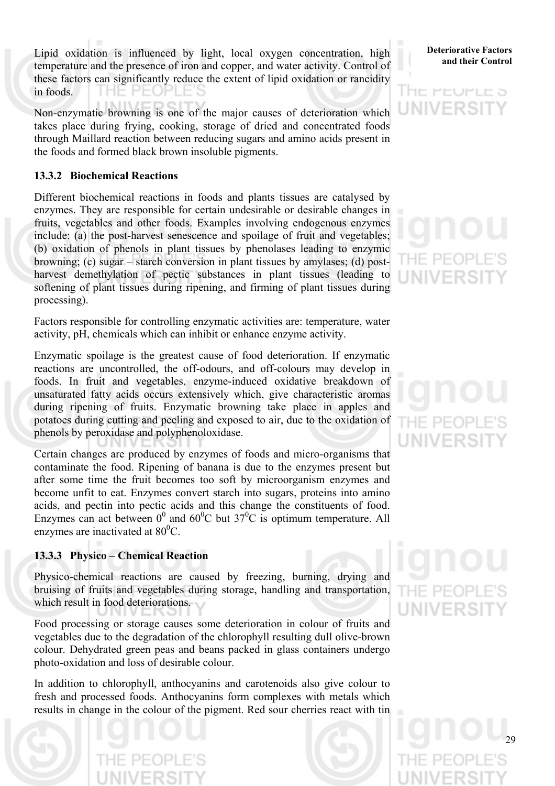Lipid oxidation is influenced by light, local oxygen concentration, high **Deteriorative Factors** temperature and the presence of iron and copper, and water activity. Control of these factors can significantly reduce the extent of lipid oxidation or rancidity in foods. THE PEOPLE

Non-enzymatic browning is one of the major causes of deterioration which takes place during frying, cooking, storage of dried and concentrated foods through Maillard reaction between reducing sugars and amino acids present in the foods and formed black brown insoluble pigments.

#### **13.3.2 Biochemical Reactions**

Different biochemical reactions in foods and plants tissues are catalysed by enzymes. They are responsible for certain undesirable or desirable changes in fruits, vegetables and other foods. Examples involving endogenous enzymes include: (a) the post-harvest senescence and spoilage of fruit and vegetables; (b) oxidation of phenols in plant tissues by phenolases leading to enzymic browning; (c) sugar – starch conversion in plant tissues by amylases; (d) postharvest demethylation of pectic substances in plant tissues (leading to softening of plant tissues during ripening, and firming of plant tissues during processing).

Factors responsible for controlling enzymatic activities are: temperature, water activity, pH, chemicals which can inhibit or enhance enzyme activity.

Enzymatic spoilage is the greatest cause of food deterioration. If enzymatic reactions are uncontrolled, the off-odours, and off-colours may develop in foods. In fruit and vegetables, enzyme-induced oxidative breakdown of unsaturated fatty acids occurs extensively which, give characteristic aromas during ripening of fruits. Enzymatic browning take place in apples and potatoes during cutting and peeling and exposed to air, due to the oxidation of phenols by peroxidase and polyphenoloxidase.

Certain changes are produced by enzymes of foods and micro-organisms that contaminate the food. Ripening of banana is due to the enzymes present but after some time the fruit becomes too soft by microorganism enzymes and become unfit to eat. Enzymes convert starch into sugars, proteins into amino acids, and pectin into pectic acids and this change the constituents of food. Enzymes can act between  $0^0$  and  $60^0$ C but  $37^0$ C is optimum temperature. All enzymes are inactivated at  $80^{\circ}$ C.

#### **13.3.3 Physico – Chemical Reaction**

Physico-chemical reactions are caused by freezing, burning, drying and bruising of fruits and vegetables during storage, handling and transportation, which result in food deteriorations.

Food processing or storage causes some deterioration in colour of fruits and vegetables due to the degradation of the chlorophyll resulting dull olive-brown colour. Dehydrated green peas and beans packed in glass containers undergo photo-oxidation and loss of desirable colour.

In addition to chlorophyll, anthocyanins and carotenoids also give colour to fresh and processed foods. Anthocyanins form complexes with metals which results in change in the colour of the pigment. Red sour cherries react with tin

## **Deteriorative Factors**



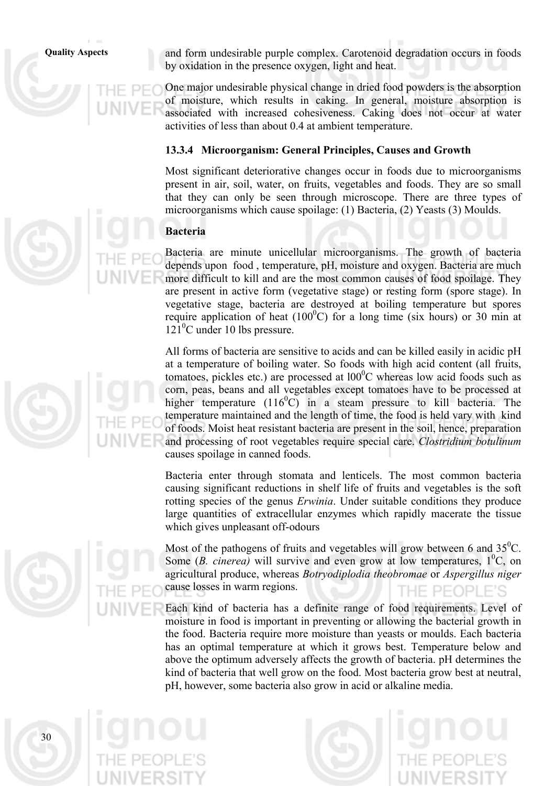**Quality Aspects** and form undesirable purple complex. Carotenoid degradation occurs in foods by oxidation in the presence oxygen, light and heat.

> One major undesirable physical change in dried food powders is the absorption of moisture, which results in caking. In general, moisture absorption is associated with increased cohesiveness. Caking does not occur at water activities of less than about 0.4 at ambient temperature.

#### **13.3.4 Microorganism: General Principles, Causes and Growth**

Most significant deteriorative changes occur in foods due to microorganisms present in air, soil, water, on fruits, vegetables and foods. They are so small that they can only be seen through microscope. There are three types of microorganisms which cause spoilage: (1) Bacteria, (2) Yeasts (3) Moulds.

#### **Bacteria**

Bacteria are minute unicellular microorganisms. The growth of bacteria depends upon food , temperature, pH, moisture and oxygen. Bacteria are much more difficult to kill and are the most common causes of food spoilage. They are present in active form (vegetative stage) or resting form (spore stage). In vegetative stage, bacteria are destroyed at boiling temperature but spores require application of heat  $(100^{\circ}$ C) for a long time (six hours) or 30 min at 121<sup>o</sup>C under 10 lbs pressure.

All forms of bacteria are sensitive to acids and can be killed easily in acidic pH at a temperature of boiling water. So foods with high acid content (all fruits, tomatoes, pickles etc.) are processed at  $100^{\circ}$ C whereas low acid foods such as corn, peas, beans and all vegetables except tomatoes have to be processed at higher temperature (116 $\degree$ C) in a steam pressure to kill bacteria. The temperature maintained and the length of time, the food is held vary with kind of foods. Moist heat resistant bacteria are present in the soil, hence, preparation and processing of root vegetables require special care. *Clostridium botulinum*  causes spoilage in canned foods.

Bacteria enter through stomata and lenticels. The most common bacteria causing significant reductions in shelf life of fruits and vegetables is the soft rotting species of the genus *Erwinia*. Under suitable conditions they produce large quantities of extracellular enzymes which rapidly macerate the tissue which gives unpleasant off-odours

Most of the pathogens of fruits and vegetables will grow between 6 and  $35^{\circ}$ C. Some  $(B. *cinerea*)$  will survive and even grow at low temperatures,  $1^{\circ}C$ , on agricultural produce, whereas *Botryodiplodia theobromae* or *Aspergillus niger* cause losses in warm regions. PFOPLE'S

Each kind of bacteria has a definite range of food requirements. Level of moisture in food is important in preventing or allowing the bacterial growth in the food. Bacteria require more moisture than yeasts or moulds. Each bacteria has an optimal temperature at which it grows best. Temperature below and above the optimum adversely affects the growth of bacteria. pH determines the kind of bacteria that well grow on the food. Most bacteria grow best at neutral, pH, however, some bacteria also grow in acid or alkaline media.





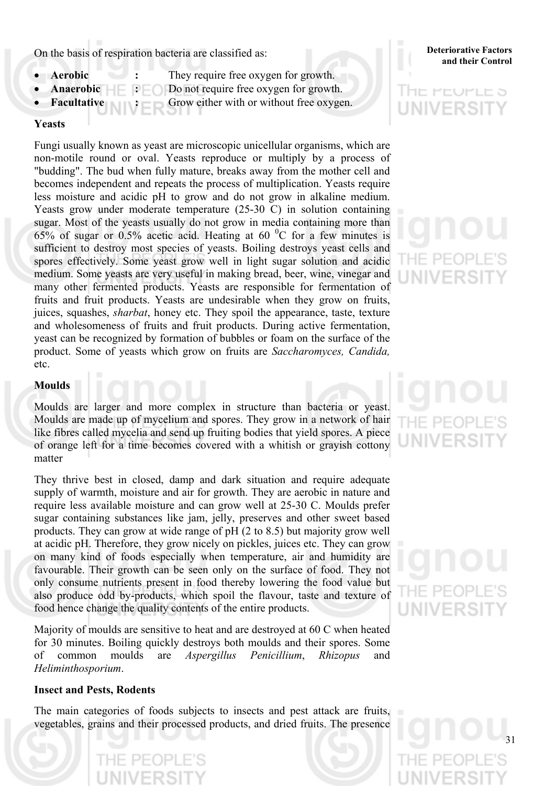On the basis of respiration bacteria are classified as:<br>and their Control

- 
- **Aerobic** : They require free oxygen for growth.
	- **Anaerobic**  $\blacksquare$  :  $\blacksquare$  Do not require free oxygen for growth.
	- **Facultative :** Grow either with or without free oxygen.

#### **Yeasts**

Fungi usually known as yeast are microscopic unicellular organisms, which are non-motile round or oval. Yeasts reproduce or multiply by a process of "budding". The bud when fully mature, breaks away from the mother cell and becomes independent and repeats the process of multiplication. Yeasts require less moisture and acidic pH to grow and do not grow in alkaline medium. Yeasts grow under moderate temperature (25-30 C) in solution containing sugar. Most of the yeasts usually do not grow in media containing more than 65% of sugar or 0.5% acetic acid. Heating at 60  $^{\circ}$ C for a few minutes is sufficient to destroy most species of yeasts. Boiling destroys yeast cells and spores effectively. Some yeast grow well in light sugar solution and acidic medium. Some yeasts are very useful in making bread, beer, wine, vinegar and many other fermented products. Yeasts are responsible for fermentation of fruits and fruit products. Yeasts are undesirable when they grow on fruits, juices, squashes, *sharbat*, honey etc. They spoil the appearance, taste, texture and wholesomeness of fruits and fruit products. During active fermentation, yeast can be recognized by formation of bubbles or foam on the surface of the product. Some of yeasts which grow on fruits are *Saccharomyces, Candida,*  etc.

#### **Moulds**

Moulds are larger and more complex in structure than bacteria or yeast. Moulds are made up of mycelium and spores. They grow in a network of hair like fibres called mycelia and send up fruiting bodies that yield spores. A piece of orange left for a time becomes covered with a whitish or grayish cottony matter

They thrive best in closed, damp and dark situation and require adequate supply of warmth, moisture and air for growth. They are aerobic in nature and require less available moisture and can grow well at 25-30 C. Moulds prefer sugar containing substances like jam, jelly, preserves and other sweet based products. They can grow at wide range of pH (2 to 8.5) but majority grow well at acidic pH. Therefore, they grow nicely on pickles, juices etc. They can grow on many kind of foods especially when temperature, air and humidity are favourable. Their growth can be seen only on the surface of food. They not only consume nutrients present in food thereby lowering the food value but also produce odd by-products, which spoil the flavour, taste and texture of food hence change the quality contents of the entire products.

Majority of moulds are sensitive to heat and are destroyed at 60 C when heated for 30 minutes. Boiling quickly destroys both moulds and their spores. Some of common moulds are *Aspergillus Penicillium*, *Rhizopus* and *Heliminthosporium*.

#### **Insect and Pests, Rodents**

The main categories of foods subjects to insects and pest attack are fruits, vegetables, grains and their processed products, and dried fruits. The presence

## **Deteriorative Factors**

## THE PEUPLE 5 UNIVERSI

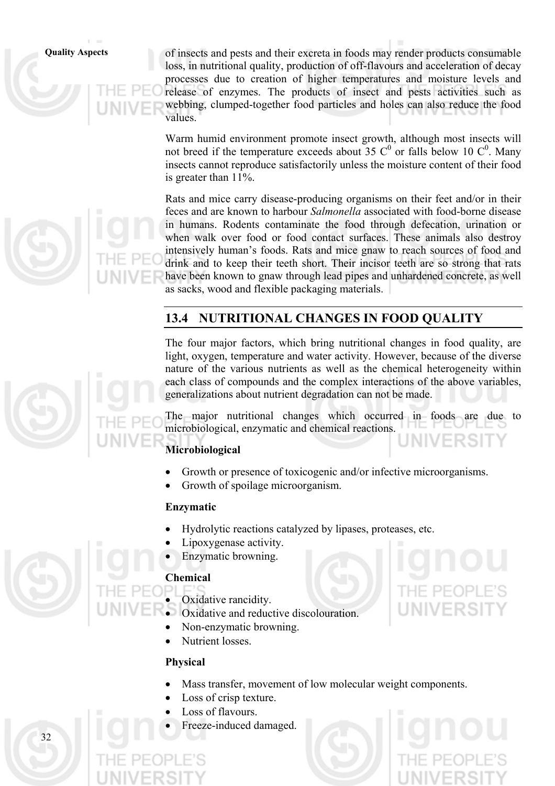**Quality Aspects** of insects and pests and their excreta in foods may render products consumable loss, in nutritional quality, production of off-flavours and acceleration of decay processes due to creation of higher temperatures and moisture levels and release of enzymes. The products of insect and pests activities such as webbing, clumped-together food particles and holes can also reduce the food values.

> Warm humid environment promote insect growth, although most insects will not breed if the temperature exceeds about 35  $C^0$  or falls below 10  $C^0$ . Many insects cannot reproduce satisfactorily unless the moisture content of their food is greater than 11%.

> Rats and mice carry disease-producing organisms on their feet and/or in their feces and are known to harbour *Salmonella* associated with food-borne disease in humans. Rodents contaminate the food through defecation, urination or when walk over food or food contact surfaces. These animals also destroy intensively human's foods. Rats and mice gnaw to reach sources of food and drink and to keep their teeth short. Their incisor teeth are so strong that rats have been known to gnaw through lead pipes and unhardened concrete, as well as sacks, wood and flexible packaging materials.

## **13.4 NUTRITIONAL CHANGES IN FOOD QUALITY**

The four major factors, which bring nutritional changes in food quality, are light, oxygen, temperature and water activity. However, because of the diverse nature of the various nutrients as well as the chemical heterogeneity within each class of compounds and the complex interactions of the above variables, generalizations about nutrient degradation can not be made.

The major nutritional changes which occurred in foods are due to microbiological, enzymatic and chemical reactions.

### **Microbiological**

- Growth or presence of toxicogenic and/or infective microorganisms.
- Growth of spoilage microorganism.

#### **Enzymatic**

- Hydrolytic reactions catalyzed by lipases, proteases, etc.
- Lipoxygenase activity.
- Enzymatic browning.

#### **Chemical**

Oxidative rancidity.

- Oxidative and reductive discolouration.
- Non-enzymatic browning.
- Nutrient losses.

#### **Physical**

- Mass transfer, movement of low molecular weight components.
- Loss of crisp texture.
- Loss of flavours.
- Freeze-induced damaged.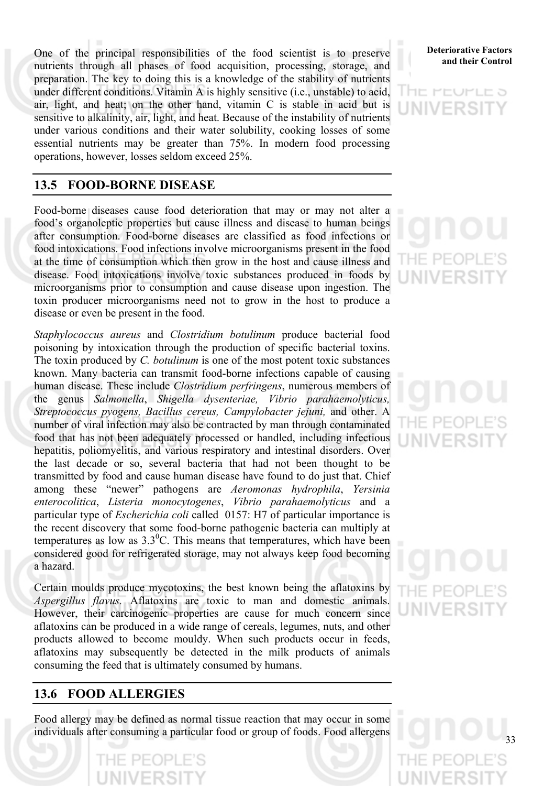One of the principal responsibilities of the food scientist is to preserve **Deteriorative Factors** nutrients through all phases of food acquisition, processing, storage, and preparation. The key to doing this is a knowledge of the stability of nutrients under different conditions. Vitamin A is highly sensitive (i.e., unstable) to acid, air, light, and heat; on the other hand, vitamin C is stable in acid but is sensitive to alkalinity, air, light, and heat. Because of the instability of nutrients under various conditions and their water solubility, cooking losses of some essential nutrients may be greater than 75%. In modern food processing operations, however, losses seldom exceed 25%.

#### **13.5 FOOD-BORNE DISEASE**

Food-borne diseases cause food deterioration that may or may not alter a food's organoleptic properties but cause illness and disease to human beings after consumption. Food-borne diseases are classified as food infections or food intoxications. Food infections involve microorganisms present in the food at the time of consumption which then grow in the host and cause illness and disease. Food intoxications involve toxic substances produced in foods by microorganisms prior to consumption and cause disease upon ingestion. The toxin producer microorganisms need not to grow in the host to produce a disease or even be present in the food.

*Staphylococcus aureus* and *Clostridium botulinum* produce bacterial food poisoning by intoxication through the production of specific bacterial toxins. The toxin produced by *C. botulinum* is one of the most potent toxic substances known. Many bacteria can transmit food-borne infections capable of causing human disease. These include *Clostridium perfringens*, numerous members of the genus *Salmonella*, *Shigella dysenteriae, Vibrio parahaemolyticus, Streptococcus pyogens, Bacillus cereus, Campylobacter jejuni,* and other. A number of viral infection may also be contracted by man through contaminated food that has not been adequately processed or handled, including infectious hepatitis, poliomyelitis, and various respiratory and intestinal disorders. Over the last decade or so, several bacteria that had not been thought to be transmitted by food and cause human disease have found to do just that. Chief among these "newer" pathogens are *Aeromonas hydrophila*, *Yersinia enterocolitica*, *Listeria monocytogenes*, *Vibrio parahaemolyticus* and a particular type of *Escherichia coli* called 0157: H7 of particular importance is the recent discovery that some food-borne pathogenic bacteria can multiply at temperatures as low as  $3.3^{\circ}$ C. This means that temperatures, which have been considered good for refrigerated storage, may not always keep food becoming a hazard.

Certain moulds produce mycotoxins, the best known being the aflatoxins by *Aspergillus flavus.* Aflatoxins are toxic to man and domestic animals. However, their carcinogenic properties are cause for much concern since aflatoxins can be produced in a wide range of cereals, legumes, nuts, and other products allowed to become mouldy. When such products occur in feeds, aflatoxins may subsequently be detected in the milk products of animals consuming the feed that is ultimately consumed by humans.

#### **13.6 FOOD ALLERGIES**

Food allergy may be defined as normal tissue reaction that may occur in some individuals after consuming a particular food or group of foods. Food allergens

## **Deteriorative Factors**

IE PEUPLE 5 FRS

1F PF(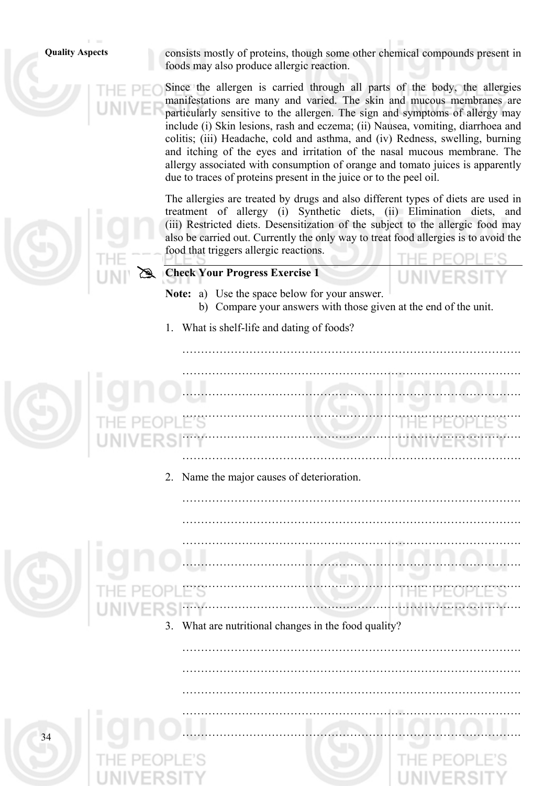**Quality Aspects** consists mostly of proteins, though some other chemical compounds present in foods may also produce allergic reaction.

> Since the allergen is carried through all parts of the body, the allergies manifestations are many and varied. The skin and mucous membranes are particularly sensitive to the allergen. The sign and symptoms of allergy may include (i) Skin lesions, rash and eczema; (ii) Nausea, vomiting, diarrhoea and colitis; (iii) Headache, cold and asthma, and (iv) Redness, swelling, burning and itching of the eyes and irritation of the nasal mucous membrane. The allergy associated with consumption of orange and tomato juices is apparently due to traces of proteins present in the juice or to the peel oil.

> The allergies are treated by drugs and also different types of diets are used in treatment of allergy (i) Synthetic diets, (ii) Elimination diets, and (iii) Restricted diets. Desensitization of the subject to the allergic food may also be carried out. Currently the only way to treat food allergies is to avoid the food that triggers allergic reactions.

> ……………………………………………………………………………….

……………………………………………………………………………….

……………………………………………………………………………….

……………………………………………………………………………….

……………………………………………………………………………….

……………………………………………………………………………….

……………………………………………………………………………….

**Check Your Progress Exercise 1** 

- **Note:** a) Use the space below for your answer. b) Compare your answers with those given at the end of the unit.
- 1. What is shelf-life and dating of foods?



2. Name the major causes of deterioration.



What are nutritional changes in the food quality?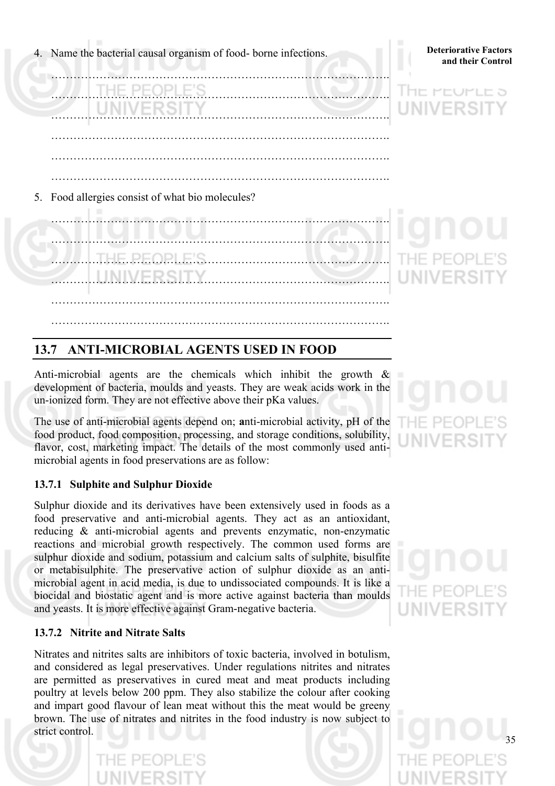**4.** Name the bacterial causal organism of food- borne infections. **Deteriorative Factors** and their Control

……………………………………………………………………………….

……………………………………………………………………………….

……………………………………………………………………………….

……………………………………………………………………………….

## **Deteriorative Factors**



5. Food allergies consist of what bio molecules?



## **13.7 ANTI-MICROBIAL AGENTS USED IN FOOD**

Anti-microbial agents are the chemicals which inhibit the growth  $\&$ development of bacteria, moulds and yeasts. They are weak acids work in the un-ionized form. They are not effective above their pKa values.

The use of anti-microbial agents depend on; **a**nti-microbial activity, pH of the food product, food composition, processing, and storage conditions, solubility, flavor, cost, marketing impact. The details of the most commonly used antimicrobial agents in food preservations are as follow:

#### **13.7.1 Sulphite and Sulphur Dioxide**

Sulphur dioxide and its derivatives have been extensively used in foods as a food preservative and anti-microbial agents. They act as an antioxidant, reducing & anti-microbial agents and prevents enzymatic, non-enzymatic reactions and microbial growth respectively. The common used forms are sulphur dioxide and sodium, potassium and calcium salts of sulphite, bisulfite or metabisulphite. The preservative action of sulphur dioxide as an antimicrobial agent in acid media, is due to undissociated compounds. It is like a biocidal and biostatic agent and is more active against bacteria than moulds and yeasts. It is more effective against Gram-negative bacteria.

#### **13.7.2 Nitrite and Nitrate Salts**

Nitrates and nitrites salts are inhibitors of toxic bacteria, involved in botulism, and considered as legal preservatives. Under regulations nitrites and nitrates are permitted as preservatives in cured meat and meat products including poultry at levels below 200 ppm. They also stabilize the colour after cooking and impart good flavour of lean meat without this the meat would be greeny brown. The use of nitrates and nitrites in the food industry is now subject to strict control.

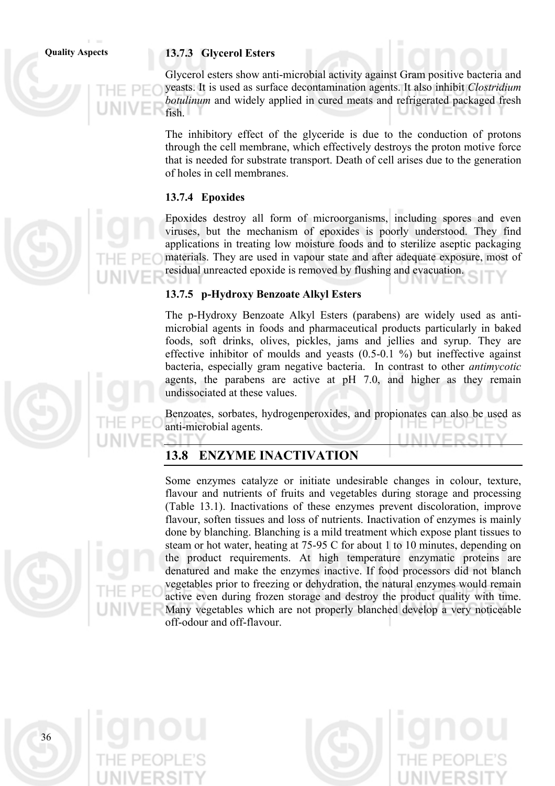#### **Quality Aspects 13.7.3 Glycerol Esters**

Glycerol esters show anti-microbial activity against Gram positive bacteria and yeasts. It is used as surface decontamination agents. It also inhibit *Clostridium botulinum* and widely applied in cured meats and refrigerated packaged fresh fish.

The inhibitory effect of the glyceride is due to the conduction of protons through the cell membrane, which effectively destroys the proton motive force that is needed for substrate transport. Death of cell arises due to the generation of holes in cell membranes.

#### **13.7.4 Epoxides**

Epoxides destroy all form of microorganisms, including spores and even viruses, but the mechanism of epoxides is poorly understood. They find applications in treating low moisture foods and to sterilize aseptic packaging materials. They are used in vapour state and after adequate exposure, most of residual unreacted epoxide is removed by flushing and evacuation.

#### **13.7.5 p-Hydroxy Benzoate Alkyl Esters**

The p-Hydroxy Benzoate Alkyl Esters (parabens) are widely used as antimicrobial agents in foods and pharmaceutical products particularly in baked foods, soft drinks, olives, pickles, jams and jellies and syrup. They are effective inhibitor of moulds and yeasts (0.5-0.1 %) but ineffective against bacteria, especially gram negative bacteria. In contrast to other *antimycotic*  agents, the parabens are active at pH 7.0, and higher as they remain undissociated at these values.

Benzoates, sorbates, hydrogenperoxides, and propionates can also be used as anti-microbial agents. **I ININ/EDS** 

#### **13.8 ENZYME INACTIVATION**

Some enzymes catalyze or initiate undesirable changes in colour, texture, flavour and nutrients of fruits and vegetables during storage and processing (Table 13.1). Inactivations of these enzymes prevent discoloration, improve flavour, soften tissues and loss of nutrients. Inactivation of enzymes is mainly done by blanching. Blanching is a mild treatment which expose plant tissues to steam or hot water, heating at 75-95 C for about 1 to 10 minutes, depending on the product requirements. At high temperature enzymatic proteins are denatured and make the enzymes inactive. If food processors did not blanch vegetables prior to freezing or dehydration, the natural enzymes would remain active even during frozen storage and destroy the product quality with time. Many vegetables which are not properly blanched develop a very noticeable off-odour and off-flavour.

36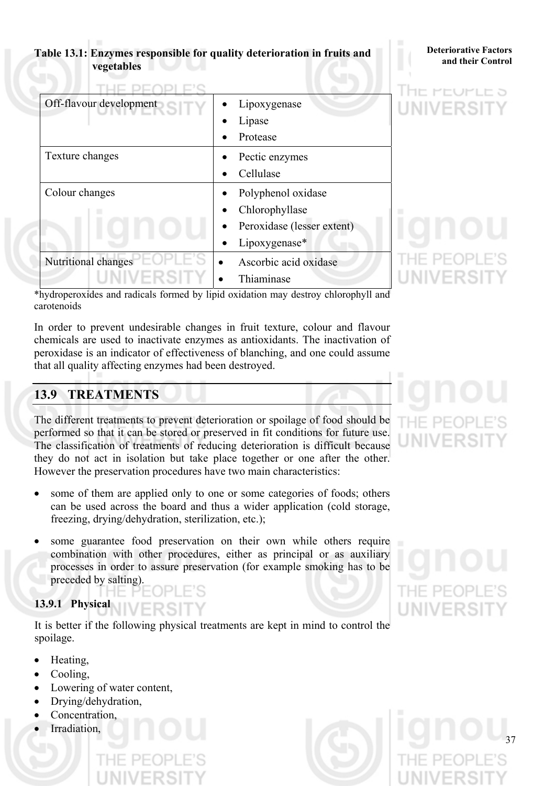#### **and 13.1: Enzymes responsible for quality deterioration in fruits and** *Deteriorative Factors* **and their Control vegetables**

## **Deteriorative Factors**

| Off-flavour development | Lipoxygenase               |
|-------------------------|----------------------------|
|                         | Lipase                     |
|                         | Protease                   |
| Texture changes         | Pectic enzymes             |
|                         | Cellulase                  |
| Colour changes          | Polyphenol oxidase         |
|                         | Chlorophyllase             |
|                         | Peroxidase (lesser extent) |
|                         | Lipoxygenase*              |
| Nutritional changes     | Ascorbic acid oxidase      |
|                         | Thiaminase                 |

HE PEUPLE 5 UNIVERSI

\*hydroperoxides and radicals formed by lipid oxidation may destroy chlorophyll and carotenoids

In order to prevent undesirable changes in fruit texture, colour and flavour chemicals are used to inactivate enzymes as antioxidants. The inactivation of peroxidase is an indicator of effectiveness of blanching, and one could assume that all quality affecting enzymes had been destroyed.

## **13.9 TREATMENTS**

The different treatments to prevent deterioration or spoilage of food should be performed so that it can be stored or preserved in fit conditions for future use. The classification of treatments of reducing deterioration is difficult because they do not act in isolation but take place together or one after the other. However the preservation procedures have two main characteristics:

- some of them are applied only to one or some categories of foods; others can be used across the board and thus a wider application (cold storage, freezing, drying/dehydration, sterilization, etc.);
- some guarantee food preservation on their own while others require combination with other procedures, either as principal or as auxiliary processes in order to assure preservation (for example smoking has to be preceded by salting).

### **13.9.1 Physical**

It is better if the following physical treatments are kept in mind to control the spoilage.

- Heating,
- Cooling,
- Lowering of water content,
- Drying/dehydration,
- Concentration,
- Irradiation,

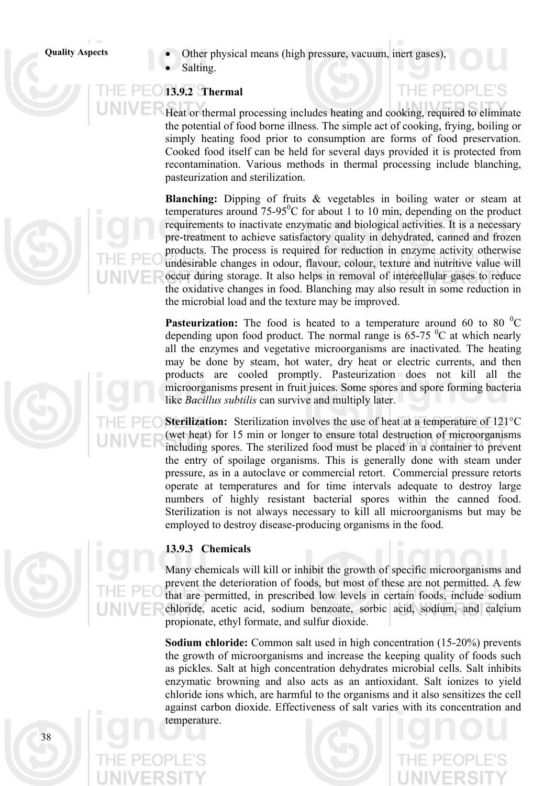- **Quality Aspects**  Other physical means (high pressure, vacuum, inert gases),
	- Salting.

## **13.9.2 Thermal**

#### Heat or thermal processing includes heating and cooking, required to eliminate the potential of food borne illness. The simple act of cooking, frying, boiling or simply heating food prior to consumption are forms of food preservation. Cooked food itself can be held for several days provided it is protected from recontamination. Various methods in thermal processing include blanching, pasteurization and sterilization.

 $H = P F C$ 

**Blanching:** Dipping of fruits & vegetables in boiling water or steam at temperatures around  $75-95^{\circ}$ C for about 1 to 10 min, depending on the product requirements to inactivate enzymatic and biological activities. It is a necessary pre-treatment to achieve satisfactory quality in dehydrated, canned and frozen products. The process is required for reduction in enzyme activity otherwise undesirable changes in odour, flavour, colour, texture and nutritive value will occur during storage. It also helps in removal of intercellular gases to reduce the oxidative changes in food. Blanching may also result in some reduction in the microbial load and the texture may be improved.

**Pasteurization:** The food is heated to a temperature around 60 to 80 $^0C$ depending upon food product. The normal range is  $65-75$  °C at which nearly all the enzymes and vegetative microorganisms are inactivated. The heating may be done by steam, hot water, dry heat or electric currents, and then products are cooled promptly. Pasteurization does not kill all the microorganisms present in fruit juices. Some spores and spore forming bacteria like *Bacillus subtilis* can survive and multiply later.

**Sterilization:** Sterilization involves the use of heat at a temperature of 121°C (wet heat) for 15 min or longer to ensure total destruction of microorganisms including spores. The sterilized food must be placed in a container to prevent the entry of spoilage organisms. This is generally done with steam under pressure, as in a autoclave or commercial retort. Commercial pressure retorts operate at temperatures and for time intervals adequate to destroy large numbers of highly resistant bacterial spores within the canned food. Sterilization is not always necessary to kill all microorganisms but may be employed to destroy disease-producing organisms in the food.



#### **13.9.3 Chemicals**

Many chemicals will kill or inhibit the growth of specific microorganisms and prevent the deterioration of foods, but most of these are not permitted. A few that are permitted, in prescribed low levels in certain foods, include sodium chloride, acetic acid, sodium benzoate, sorbic acid, sodium, and calcium propionate, ethyl formate, and sulfur dioxide.

**Sodium chloride:** Common salt used in high concentration (15-20%) prevents the growth of microorganisms and increase the keeping quality of foods such as pickles. Salt at high concentration dehydrates microbial cells. Salt inhibits enzymatic browning and also acts as an antioxidant. Salt ionizes to yield chloride ions which, are harmful to the organisms and it also sensitizes the cell against carbon dioxide. Effectiveness of salt varies with its concentration and temperature.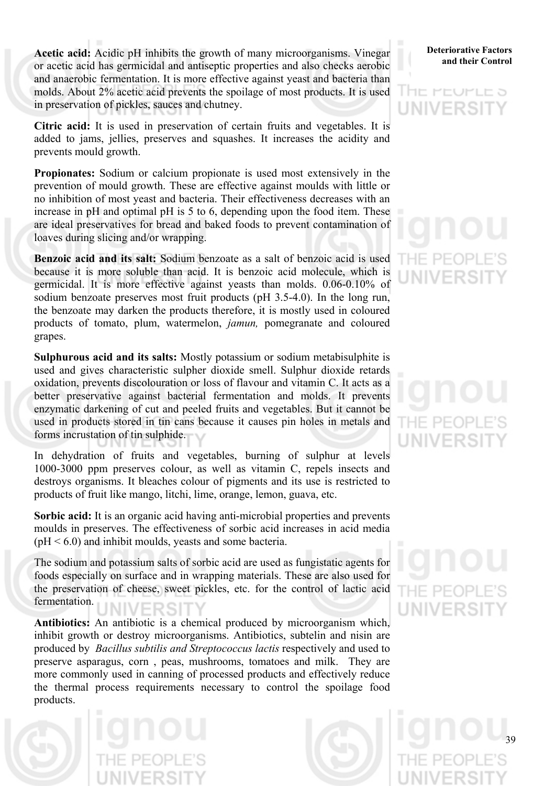**Acetic acid:** Acidic pH inhibits the growth of many microorganisms. Vinegar or acetic acid has germicidal and antiseptic properties and also checks aerobic and anaerobic fermentation. It is more effective against yeast and bacteria than molds. About 2% acetic acid prevents the spoilage of most products. It is used in preservation of pickles, sauces and chutney.

**Citric acid:** It is used in preservation of certain fruits and vegetables. It is added to jams, jellies, preserves and squashes. It increases the acidity and prevents mould growth.

**Propionates:** Sodium or calcium propionate is used most extensively in the prevention of mould growth. These are effective against moulds with little or no inhibition of most yeast and bacteria. Their effectiveness decreases with an increase in pH and optimal pH is 5 to 6, depending upon the food item. These are ideal preservatives for bread and baked foods to prevent contamination of loaves during slicing and/or wrapping.

**Benzoic acid and its salt:** Sodium benzoate as a salt of benzoic acid is used because it is more soluble than acid. It is benzoic acid molecule, which is germicidal. It is more effective against yeasts than molds. 0.06-0.10% of sodium benzoate preserves most fruit products (pH 3.5-4.0). In the long run, the benzoate may darken the products therefore, it is mostly used in coloured products of tomato, plum, watermelon, *jamun,* pomegranate and coloured grapes.

**Sulphurous acid and its salts:** Mostly potassium or sodium metabisulphite is used and gives characteristic sulpher dioxide smell. Sulphur dioxide retards oxidation, prevents discolouration or loss of flavour and vitamin C. It acts as a better preservative against bacterial fermentation and molds. It prevents enzymatic darkening of cut and peeled fruits and vegetables. But it cannot be used in products stored in tin cans because it causes pin holes in metals and forms incrustation of tin sulphide.

In dehydration of fruits and vegetables, burning of sulphur at levels 1000-3000 ppm preserves colour, as well as vitamin C, repels insects and destroys organisms. It bleaches colour of pigments and its use is restricted to products of fruit like mango, litchi, lime, orange, lemon, guava, etc.

**Sorbic acid:** It is an organic acid having anti-microbial properties and prevents moulds in preserves. The effectiveness of sorbic acid increases in acid media  $(pH < 6.0)$  and inhibit moulds, yeasts and some bacteria.

The sodium and potassium salts of sorbic acid are used as fungistatic agents for foods especially on surface and in wrapping materials. These are also used for the preservation of cheese, sweet pickles, etc. for the control of lactic acid fermentation.

**Antibiotics:** An antibiotic is a chemical produced by microorganism which, inhibit growth or destroy microorganisms. Antibiotics, subtelin and nisin are produced by *Bacillus subtilis and Streptococcus lactis* respectively and used to preserve asparagus, corn , peas, mushrooms, tomatoes and milk. They are more commonly used in canning of processed products and effectively reduce the thermal process requirements necessary to control the spoilage food products.



#### **Deteriorative Factors and their Control**

he eeueus a **UNIVERSI** 

# HF PF(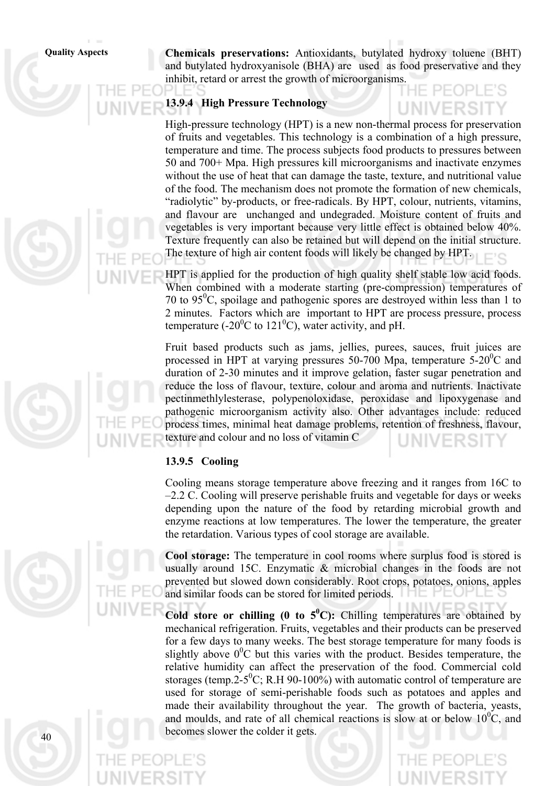**Quality Aspects Chemicals preservations:** Antioxidants, butylated hydroxy toluene (BHT) and butylated hydroxyanisole (BHA) are used as food preservative and they inhibit, retard or arrest the growth of microorganisms.

#### **13.9.4 High Pressure Technology**

High-pressure technology (HPT) is a new non-thermal process for preservation of fruits and vegetables. This technology is a combination of a high pressure, temperature and time. The process subjects food products to pressures between 50 and 700+ Mpa. High pressures kill microorganisms and inactivate enzymes without the use of heat that can damage the taste, texture, and nutritional value of the food. The mechanism does not promote the formation of new chemicals, "radiolytic" by-products, or free-radicals. By HPT, colour, nutrients, vitamins, and flavour are unchanged and undegraded. Moisture content of fruits and vegetables is very important because very little effect is obtained below 40%. Texture frequently can also be retained but will depend on the initial structure. The texture of high air content foods will likely be changed by HPT.

HPT is applied for the production of high quality shelf stable low acid foods. When combined with a moderate starting (pre-compression) temperatures of 70 to  $95^{\circ}$ C, spoilage and pathogenic spores are destroyed within less than 1 to 2 minutes. Factors which are important to HPT are process pressure, process temperature (-20 $\rm{^0C}$  to 121 $\rm{^0C}$ ), water activity, and pH.

Fruit based products such as jams, jellies, purees, sauces, fruit juices are processed in HPT at varying pressures 50-700 Mpa, temperature  $5\text{-}20\text{°C}$  and duration of 2-30 minutes and it improve gelation, faster sugar penetration and reduce the loss of flavour, texture, colour and aroma and nutrients. Inactivate pectinmethlylesterase, polypenoloxidase, peroxidase and lipoxygenase and pathogenic microorganism activity also. Other advantages include: reduced process times, minimal heat damage problems, retention of freshness, flavour, texture and colour and no loss of vitamin C

#### **13.9.5 Cooling**

Cooling means storage temperature above freezing and it ranges from 16C to –2.2 C. Cooling will preserve perishable fruits and vegetable for days or weeks depending upon the nature of the food by retarding microbial growth and enzyme reactions at low temperatures. The lower the temperature, the greater the retardation. Various types of cool storage are available.

**Cool storage:** The temperature in cool rooms where surplus food is stored is usually around 15C. Enzymatic & microbial changes in the foods are not prevented but slowed down considerably. Root crops, potatoes, onions, apples and similar foods can be stored for limited periods.

**Cold store or chilling (0 to**  $5^{\circ}$ **C):** Chilling temperatures are obtained by mechanical refrigeration. Fruits, vegetables and their products can be preserved for a few days to many weeks. The best storage temperature for many foods is slightly above  $0^0C$  but this varies with the product. Besides temperature, the relative humidity can affect the preservation of the food. Commercial cold storages (temp.2-5<sup>0</sup>C; R.H 90-100%) with automatic control of temperature are used for storage of semi-perishable foods such as potatoes and apples and made their availability throughout the year. The growth of bacteria, yeasts, and moulds, and rate of all chemical reactions is slow at or below  $10^{0}$ C, and becomes slower the colder it gets.



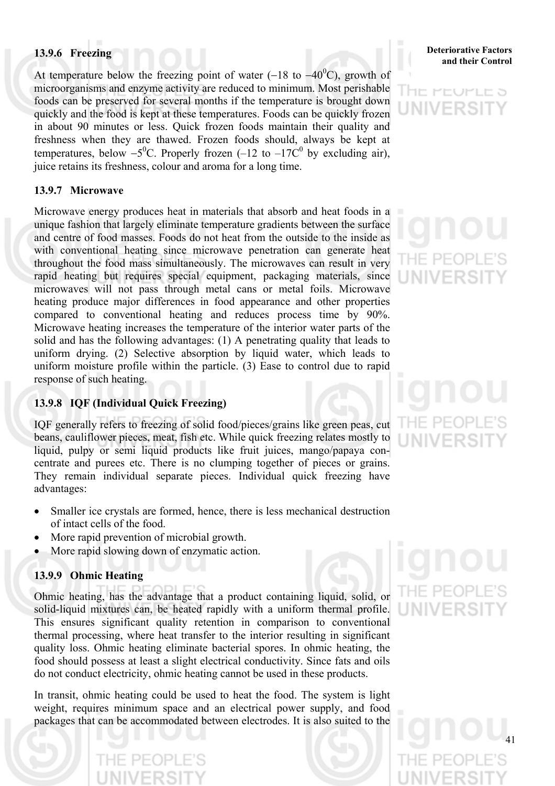At temperature below the freezing point of water (-18 to -40<sup>0</sup>C), growth of microorganisms and enzyme activity are reduced to minimum. Most perishable foods can be preserved for several months if the temperature is brought down quickly and the food is kept at these temperatures. Foods can be quickly frozen in about 90 minutes or less. Quick frozen foods maintain their quality and freshness when they are thawed. Frozen foods should, always be kept at temperatures, below  $-5^0C$ . Properly frozen (-12 to -17 $C^0$  by excluding air), juice retains its freshness, colour and aroma for a long time.

#### **13.9.7 Microwave**

Microwave energy produces heat in materials that absorb and heat foods in a unique fashion that largely eliminate temperature gradients between the surface and centre of food masses. Foods do not heat from the outside to the inside as with conventional heating since microwave penetration can generate heat throughout the food mass simultaneously. The microwaves can result in very rapid heating but requires special equipment, packaging materials, since microwaves will not pass through metal cans or metal foils. Microwave heating produce major differences in food appearance and other properties compared to conventional heating and reduces process time by 90%. Microwave heating increases the temperature of the interior water parts of the solid and has the following advantages: (1) A penetrating quality that leads to uniform drying. (2) Selective absorption by liquid water, which leads to uniform moisture profile within the particle. (3) Ease to control due to rapid response of such heating.

#### **13.9.8 IQF (Individual Quick Freezing)**

IQF generally refers to freezing of solid food/pieces/grains like green peas, cut beans, cauliflower pieces, meat, fish etc. While quick freezing relates mostly to liquid, pulpy or semi liquid products like fruit juices, mango/papaya concentrate and purees etc. There is no clumping together of pieces or grains. They remain individual separate pieces. Individual quick freezing have advantages:

- Smaller ice crystals are formed, hence, there is less mechanical destruction of intact cells of the food.
- More rapid prevention of microbial growth.
- More rapid slowing down of enzymatic action.

#### **13.9.9 Ohmic Heating**

Ohmic heating, has the advantage that a product containing liquid, solid, or solid-liquid mixtures can, be heated rapidly with a uniform thermal profile. This ensures significant quality retention in comparison to conventional thermal processing, where heat transfer to the interior resulting in significant quality loss. Ohmic heating eliminate bacterial spores. In ohmic heating, the food should possess at least a slight electrical conductivity. Since fats and oils do not conduct electricity, ohmic heating cannot be used in these products.

In transit, ohmic heating could be used to heat the food. The system is light weight, requires minimum space and an electrical power supply, and food packages that can be accommodated between electrodes. It is also suited to the



/FRS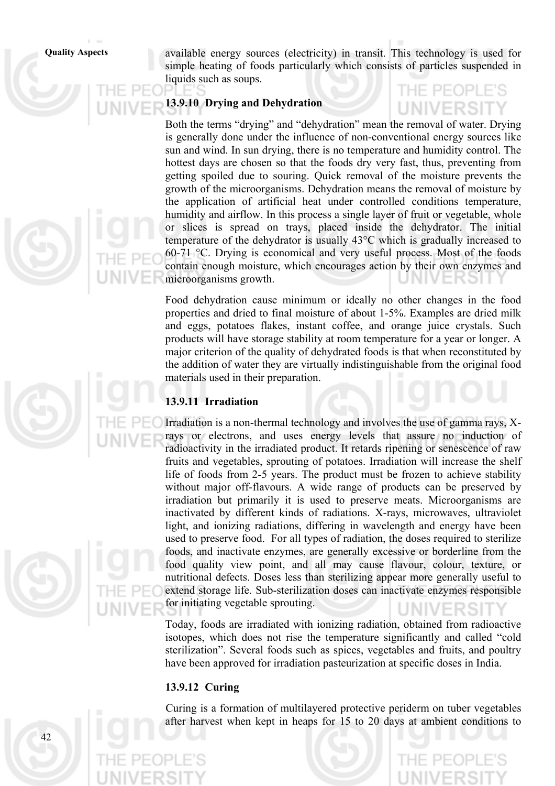**Quality Aspects** available energy sources (electricity) in transit. This technology is used for simple heating of foods particularly which consists of particles suspended in liquids such as soups.

#### **13.9.10 Drying and Dehydration**

Both the terms "drying" and "dehydration" mean the removal of water. Drying is generally done under the influence of non-conventional energy sources like sun and wind. In sun drying, there is no temperature and humidity control. The hottest days are chosen so that the foods dry very fast, thus, preventing from getting spoiled due to souring. Quick removal of the moisture prevents the growth of the microorganisms. Dehydration means the removal of moisture by the application of artificial heat under controlled conditions temperature, humidity and airflow. In this process a single layer of fruit or vegetable, whole or slices is spread on trays, placed inside the dehydrator. The initial temperature of the dehydrator is usually 43°C which is gradually increased to 60-71 °C. Drying is economical and very useful process. Most of the foods contain enough moisture, which encourages action by their own enzymes and microorganisms growth.

Food dehydration cause minimum or ideally no other changes in the food properties and dried to final moisture of about 1-5%. Examples are dried milk and eggs, potatoes flakes, instant coffee, and orange juice crystals. Such products will have storage stability at room temperature for a year or longer. A major criterion of the quality of dehydrated foods is that when reconstituted by the addition of water they are virtually indistinguishable from the original food materials used in their preparation.

#### **13.9.11 Irradiation**

Irradiation is a non-thermal technology and involves the use of gamma rays, Xrays or electrons, and uses energy levels that assure no induction of radioactivity in the irradiated product. It retards ripening or senescence of raw fruits and vegetables, sprouting of potatoes. Irradiation will increase the shelf life of foods from 2-5 years. The product must be frozen to achieve stability without major off-flavours. A wide range of products can be preserved by irradiation but primarily it is used to preserve meats. Microorganisms are inactivated by different kinds of radiations. X-rays, microwaves, ultraviolet light, and ionizing radiations, differing in wavelength and energy have been used to preserve food. For all types of radiation, the doses required to sterilize foods, and inactivate enzymes, are generally excessive or borderline from the food quality view point, and all may cause flavour, colour, texture, or nutritional defects. Doses less than sterilizing appear more generally useful to extend storage life. Sub-sterilization doses can inactivate enzymes responsible for initiating vegetable sprouting.

Today, foods are irradiated with ionizing radiation, obtained from radioactive isotopes, which does not rise the temperature significantly and called "cold sterilization". Several foods such as spices, vegetables and fruits, and poultry have been approved for irradiation pasteurization at specific doses in India.

#### **13.9.12 Curing**

Curing is a formation of multilayered protective periderm on tuber vegetables after harvest when kept in heaps for 15 to 20 days at ambient conditions to

 $\Lambda$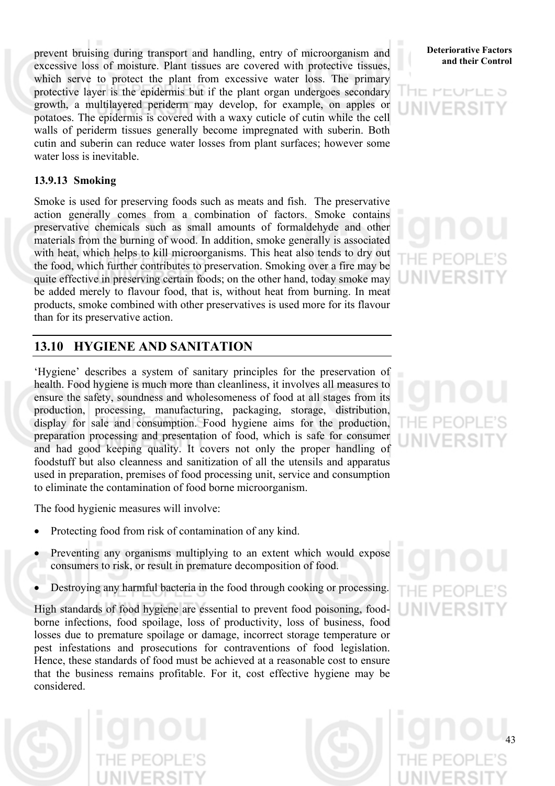prevent bruising during transport and handling, entry of microorganism and **Deteriorative Factors** and their Control excessive loss of moisture. Plant tissues are covered with protective tissues, which serve to protect the plant from excessive water loss. The primary protective layer is the epidermis but if the plant organ undergoes secondary growth, a multilayered periderm may develop, for example, on apples or potatoes. The epidermis is covered with a waxy cuticle of cutin while the cell walls of periderm tissues generally become impregnated with suberin. Both cutin and suberin can reduce water losses from plant surfaces; however some water loss is inevitable.

#### **13.9.13 Smoking**

Smoke is used for preserving foods such as meats and fish. The preservative action generally comes from a combination of factors. Smoke contains preservative chemicals such as small amounts of formaldehyde and other materials from the burning of wood. In addition, smoke generally is associated with heat, which helps to kill microorganisms. This heat also tends to dry out the food, which further contributes to preservation. Smoking over a fire may be quite effective in preserving certain foods; on the other hand, today smoke may be added merely to flavour food, that is, without heat from burning. In meat products, smoke combined with other preservatives is used more for its flavour than for its preservative action.

## **13.10 HYGIENE AND SANITATION**

'Hygiene' describes a system of sanitary principles for the preservation of health. Food hygiene is much more than cleanliness, it involves all measures to ensure the safety, soundness and wholesomeness of food at all stages from its production, processing, manufacturing, packaging, storage, distribution, display for sale and consumption. Food hygiene aims for the production, preparation processing and presentation of food, which is safe for consumer and had good keeping quality. It covers not only the proper handling of foodstuff but also cleanness and sanitization of all the utensils and apparatus used in preparation, premises of food processing unit, service and consumption to eliminate the contamination of food borne microorganism.

The food hygienic measures will involve:

- Protecting food from risk of contamination of any kind.
- Preventing any organisms multiplying to an extent which would expose consumers to risk, or result in premature decomposition of food.
- Destroying any harmful bacteria in the food through cooking or processing.

High standards of food hygiene are essential to prevent food poisoning, foodborne infections, food spoilage, loss of productivity, loss of business, food losses due to premature spoilage or damage, incorrect storage temperature or pest infestations and prosecutions for contraventions of food legislation. Hence, these standards of food must be achieved at a reasonable cost to ensure that the business remains profitable. For it, cost effective hygiene may be considered.



アロヒう

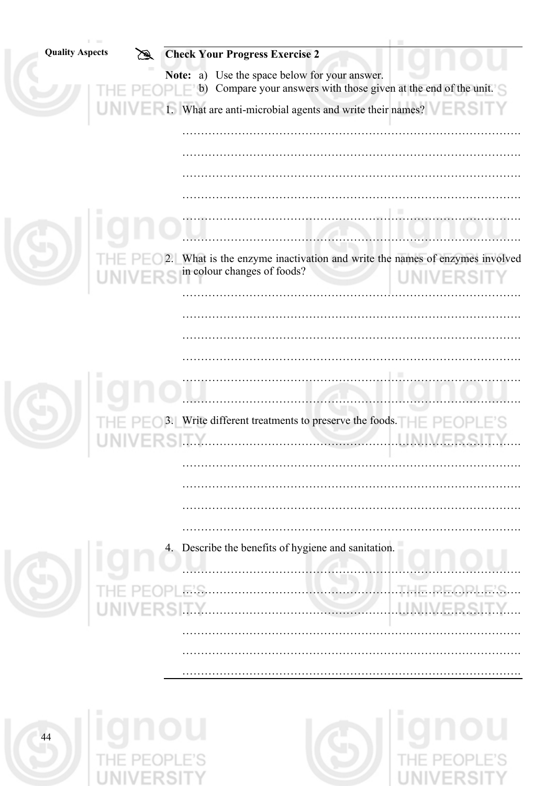| <b>Quality Aspects</b> | <b>Check Your Progress Exercise 2</b>                         |                                                                                                |
|------------------------|---------------------------------------------------------------|------------------------------------------------------------------------------------------------|
|                        | Note: a) Use the space below for your answer.<br>$P \vdash b$ | Compare your answers with those given at the end of the unit.                                  |
|                        |                                                               | 1. What are anti-microbial agents and write their names?                                       |
|                        |                                                               |                                                                                                |
|                        |                                                               |                                                                                                |
|                        |                                                               |                                                                                                |
|                        |                                                               |                                                                                                |
|                        |                                                               |                                                                                                |
|                        | in colour changes of foods?                                   | 2. What is the enzyme inactivation and write the names of enzymes involved<br><b>UNIVERSIT</b> |
|                        |                                                               |                                                                                                |
|                        |                                                               |                                                                                                |
|                        |                                                               |                                                                                                |
|                        |                                                               |                                                                                                |
|                        |                                                               |                                                                                                |
|                        | 3. Write different treatments to preserve the foods.          |                                                                                                |
|                        |                                                               |                                                                                                |
|                        |                                                               |                                                                                                |
|                        |                                                               |                                                                                                |
|                        |                                                               |                                                                                                |
|                        | 4. Describe the benefits of hygiene and sanitation.           |                                                                                                |
|                        |                                                               |                                                                                                |
|                        |                                                               |                                                                                                |
|                        |                                                               |                                                                                                |
|                        |                                                               |                                                                                                |
|                        |                                                               |                                                                                                |
|                        |                                                               |                                                                                                |

**EXAMPLE 25 THE PEOPLE'S** 



**SUPPLE PEOPLE'S**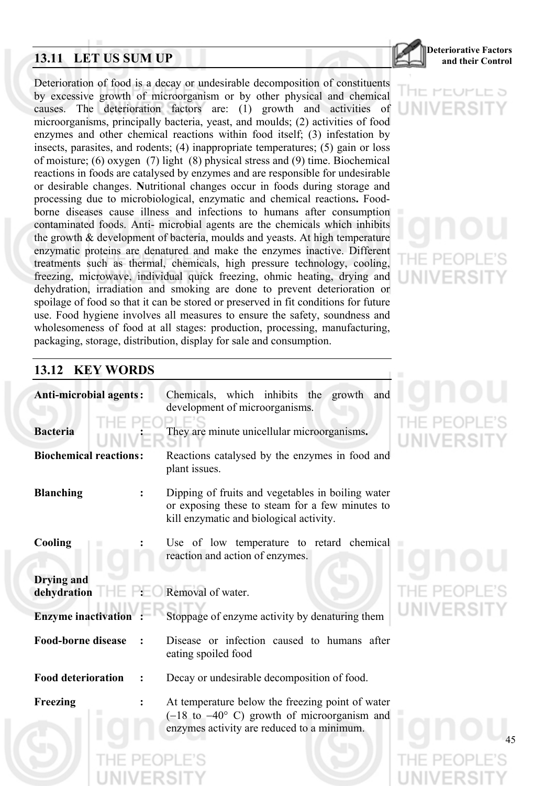## **13.11 LET US SUM UP and their Control**

**Deteriorative Factors**

Deterioration of food is a decay or undesirable decomposition of constituents by excessive growth of microorganism or by other physical and chemical causes. The deterioration factors are: (1) growth and activities of microorganisms, principally bacteria, yeast, and moulds; (2) activities of food enzymes and other chemical reactions within food itself; (3) infestation by insects, parasites, and rodents; (4) inappropriate temperatures; (5) gain or loss of moisture; (6) oxygen (7) light (8) physical stress and (9) time. Biochemical reactions in foods are catalysed by enzymes and are responsible for undesirable or desirable changes. **N**utritional changes occur in foods during storage and processing due to microbiological, enzymatic and chemical reactions**.** Foodborne diseases cause illness and infections to humans after consumption contaminated foods. Anti- microbial agents are the chemicals which inhibits the growth & development of bacteria, moulds and yeasts. At high temperature enzymatic proteins are denatured and make the enzymes inactive. Different treatments such as thermal, chemicals, high pressure technology, cooling, freezing, microwave, individual quick freezing, ohmic heating, drying and dehydration, irradiation and smoking are done to prevent deterioration or spoilage of food so that it can be stored or preserved in fit conditions for future use. Food hygiene involves all measures to ensure the safety, soundness and wholesomeness of food at all stages: production, processing, manufacturing, packaging, storage, distribution, display for sale and consumption.

## HE MEUMLE 5 UNIVERSI

## **13.12 KEY WORDS**

| <b>Anti-microbial agents:</b>    | Chemicals, which inhibits the growth and<br>development of microorganisms.                                                                               |
|----------------------------------|----------------------------------------------------------------------------------------------------------------------------------------------------------|
| <b>Bacteria</b>                  | They are minute unicellular microorganisms.                                                                                                              |
| <b>Biochemical reactions:</b>    | Reactions catalysed by the enzymes in food and<br>plant issues.                                                                                          |
| <b>Blanching</b>                 | Dipping of fruits and vegetables in boiling water<br>or exposing these to steam for a few minutes to<br>kill enzymatic and biological activity.          |
| Cooling                          | Use of low temperature to retard chemical<br>reaction and action of enzymes.                                                                             |
| <b>Drying and</b><br>dehydration | Removal of water.                                                                                                                                        |
| <b>Enzyme inactivation</b>       | Stoppage of enzyme activity by denaturing them                                                                                                           |
| <b>Food-borne disease</b>        | Disease or infection caused to humans after<br>eating spoiled food                                                                                       |
| <b>Food deterioration</b>        | Decay or undesirable decomposition of food.                                                                                                              |
| Freezing                         | At temperature below the freezing point of water<br>$(-18$ to $-40^{\circ}$ C) growth of microorganism and<br>enzymes activity are reduced to a minimum. |

# E PEOPL **WIVERSI**

E PEOP NIVERSIT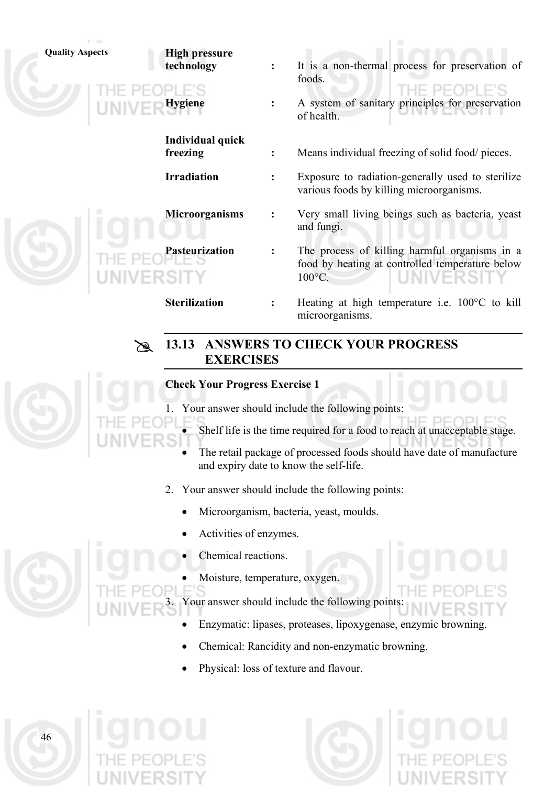

- 1. Your answer should include the following points:
	- Shelf life is the time required for a food to reach at unacceptable stage.
		- The retail package of processed foods should have date of manufacture and expiry date to know the self-life.
- 2. Your answer should include the following points:
	- Microorganism, bacteria, yeast, moulds.
	- Activities of enzymes.
	- Chemical reactions.

46

Moisture, temperature, oxygen.

Your answer should include the following points:

- Enzymatic: lipases, proteases, lipoxygenase, enzymic browning.
- Chemical: Rancidity and non-enzymatic browning.
- Physical: loss of texture and flavour.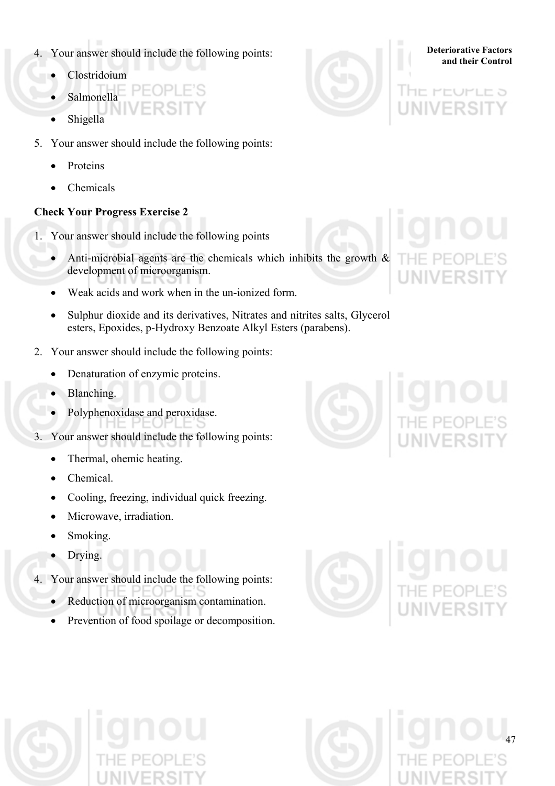- **a.** Your answer should include the following points:<br>**and their Control** 4.
	- Clostridoium
	- Salmonella
	- **Shigella**
- 5. Your answer should include the following points:
	- Proteins
	- Chemicals

#### **Check Your Progress Exercise 2**

- 1. Your answer should include the following points
	- Anti-microbial agents are the chemicals which inhibits the growth  $\&$ development of microorganism.
	- Weak acids and work when in the un-ionized form.
	- Sulphur dioxide and its derivatives, Nitrates and nitrites salts, Glycerol esters, Epoxides, p-Hydroxy Benzoate Alkyl Esters (parabens).
- 2. Your answer should include the following points:
	- Denaturation of enzymic proteins.
	- Blanching.
	- Polyphenoxidase and peroxidase.
- 3. Your answer should include the following points:
	- Thermal, ohemic heating.
	- Chemical.
	- Cooling, freezing, individual quick freezing.
	- Microwave, irradiation.
	- Smoking.
	- Drying.
- 4. Your answer should include the following points:
	- Reduction of microorganism contamination.
	- Prevention of food spoilage or decomposition.



## アロヒコ